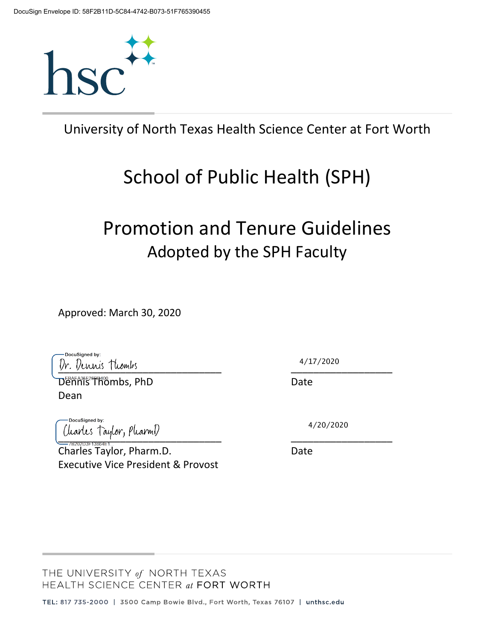

University of North Texas Health Science Center at Fort Worth

# School of Public Health (SPH)

# Promotion and Tenure Guidelines Adopted by the SPH Faculty

Approved: March 30, 2020

DocuSianed by: Dr. Dennis Thombs

Dennis Thombs, PhD Date Dean

DocuSianed by Charles Taylor, PharmD

Charles Taylor, Pharm.D. Date Executive Vice President & Provost

4/17/2020

4/20/2020

THE UNIVERSITY of NORTH TEXAS HEALTH SCIENCE CENTER at FORT WORTH

TEL: 817 735-2000 | 3500 Camp Bowie Blvd., Fort Worth, Texas 76107 | unthsc.edu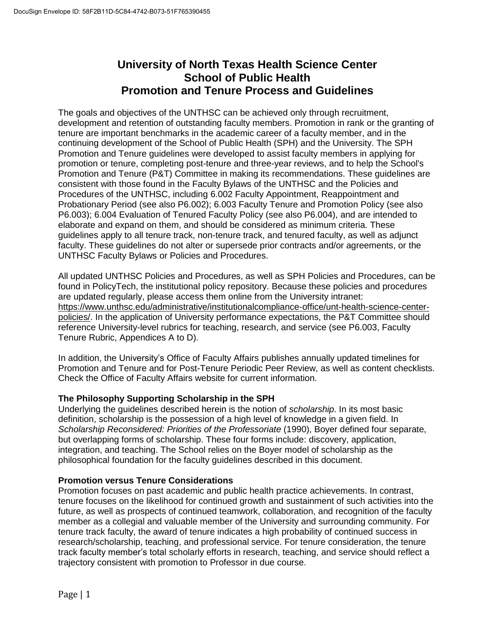# **University of North Texas Health Science Center School of Public Health Promotion and Tenure Process and Guidelines**

The goals and objectives of the UNTHSC can be achieved only through recruitment, development and retention of outstanding faculty members. Promotion in rank or the granting of tenure are important benchmarks in the academic career of a faculty member, and in the continuing development of the School of Public Health (SPH) and the University. The SPH Promotion and Tenure guidelines were developed to assist faculty members in applying for promotion or tenure, completing post-tenure and three-year reviews, and to help the School's Promotion and Tenure (P&T) Committee in making its recommendations. These guidelines are consistent with those found in the Faculty Bylaws of the UNTHSC and the Policies and Procedures of the UNTHSC, including 6.002 Faculty Appointment, Reappointment and Probationary Period (see also P6.002); 6.003 Faculty Tenure and Promotion Policy (see also P6.003); 6.004 Evaluation of Tenured Faculty Policy (see also P6.004), and are intended to elaborate and expand on them, and should be considered as minimum criteria. These guidelines apply to all tenure track, non-tenure track, and tenured faculty, as well as adjunct faculty. These guidelines do not alter or supersede prior contracts and/or agreements, or the UNTHSC Faculty Bylaws or Policies and Procedures.

All updated UNTHSC Policies and Procedures, as well as SPH Policies and Procedures, can be found in PolicyTech, the institutional policy repository. Because these policies and procedures are updated regularly, please access them online from the University intranet: https://www.unthsc.edu/administrative/institutionalcompliance-office/unt-health-science-centerpolicies/. In the application of University performance expectations, the P&T Committee should reference University-level rubrics for teaching, research, and service (see P6.003, Faculty Tenure Rubric, Appendices A to D).

In addition, the University's Office of Faculty Affairs publishes annually updated timelines for Promotion and Tenure and for Post-Tenure Periodic Peer Review, as well as content checklists. Check the Office of Faculty Affairs website for current information.

# **The Philosophy Supporting Scholarship in the SPH**

Underlying the guidelines described herein is the notion of *scholarship*. In its most basic definition, scholarship is the possession of a high level of knowledge in a given field. In *Scholarship Reconsidered: Priorities of the Professoriate* (1990), Boyer defined four separate, but overlapping forms of scholarship. These four forms include: discovery, application, integration, and teaching. The School relies on the Boyer model of scholarship as the philosophical foundation for the faculty guidelines described in this document.

## **Promotion versus Tenure Considerations**

Promotion focuses on past academic and public health practice achievements. In contrast, tenure focuses on the likelihood for continued growth and sustainment of such activities into the future, as well as prospects of continued teamwork, collaboration, and recognition of the faculty member as a collegial and valuable member of the University and surrounding community. For tenure track faculty, the award of tenure indicates a high probability of continued success in research/scholarship, teaching, and professional service. For tenure consideration, the tenure track faculty member's total scholarly efforts in research, teaching, and service should reflect a trajectory consistent with promotion to Professor in due course.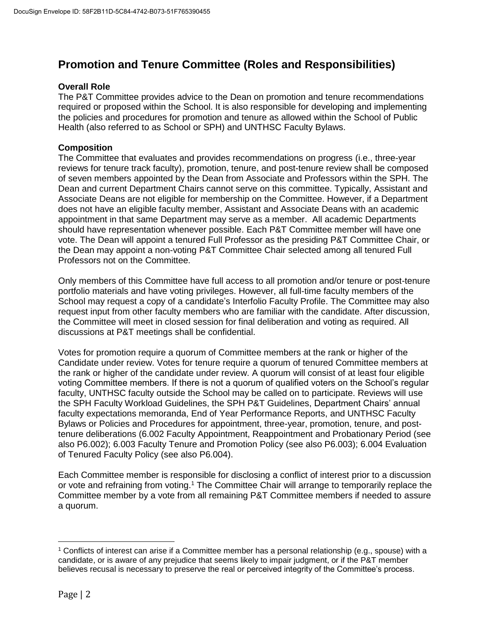# **Promotion and Tenure Committee (Roles and Responsibilities)**

## **Overall Role**

The P&T Committee provides advice to the Dean on promotion and tenure recommendations required or proposed within the School. It is also responsible for developing and implementing the policies and procedures for promotion and tenure as allowed within the School of Public Health (also referred to as School or SPH) and UNTHSC Faculty Bylaws.

#### **Composition**

The Committee that evaluates and provides recommendations on progress (i.e., three-year reviews for tenure track faculty), promotion, tenure, and post-tenure review shall be composed of seven members appointed by the Dean from Associate and Professors within the SPH. The Dean and current Department Chairs cannot serve on this committee. Typically, Assistant and Associate Deans are not eligible for membership on the Committee. However, if a Department does not have an eligible faculty member, Assistant and Associate Deans with an academic appointment in that same Department may serve as a member. All academic Departments should have representation whenever possible. Each P&T Committee member will have one vote. The Dean will appoint a tenured Full Professor as the presiding P&T Committee Chair, or the Dean may appoint a non-voting P&T Committee Chair selected among all tenured Full Professors not on the Committee.

Only members of this Committee have full access to all promotion and/or tenure or post-tenure portfolio materials and have voting privileges. However, all full-time faculty members of the School may request a copy of a candidate's Interfolio Faculty Profile. The Committee may also request input from other faculty members who are familiar with the candidate. After discussion, the Committee will meet in closed session for final deliberation and voting as required. All discussions at P&T meetings shall be confidential.

Votes for promotion require a quorum of Committee members at the rank or higher of the Candidate under review. Votes for tenure require a quorum of tenured Committee members at the rank or higher of the candidate under review. A quorum will consist of at least four eligible voting Committee members. If there is not a quorum of qualified voters on the School's regular faculty, UNTHSC faculty outside the School may be called on to participate. Reviews will use the SPH Faculty Workload Guidelines, the SPH P&T Guidelines, Department Chairs' annual faculty expectations memoranda, End of Year Performance Reports, and UNTHSC Faculty Bylaws or Policies and Procedures for appointment, three-year, promotion, tenure, and posttenure deliberations (6.002 Faculty Appointment, Reappointment and Probationary Period (see also P6.002); 6.003 Faculty Tenure and Promotion Policy (see also P6.003); 6.004 Evaluation of Tenured Faculty Policy (see also P6.004).

Each Committee member is responsible for disclosing a conflict of interest prior to a discussion or vote and refraining from voting.<sup>1</sup> The Committee Chair will arrange to temporarily replace the Committee member by a vote from all remaining P&T Committee members if needed to assure a quorum.

 $\overline{a}$ 

<sup>1</sup> Conflicts of interest can arise if a Committee member has a personal relationship (e.g., spouse) with a candidate, or is aware of any prejudice that seems likely to impair judgment, or if the P&T member believes recusal is necessary to preserve the real or perceived integrity of the Committee's process.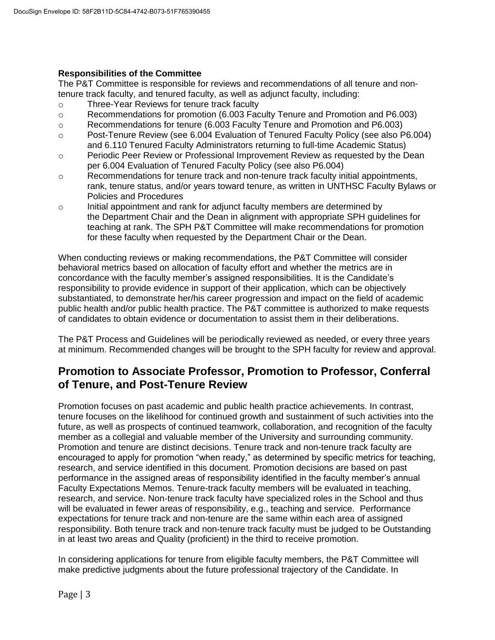## **Responsibilities of the Committee**

The P&T Committee is responsible for reviews and recommendations of all tenure and nontenure track faculty, and tenured faculty, as well as adjunct faculty, including:

- o Three-Year Reviews for tenure track faculty
- o Recommendations for promotion (6.003 Faculty Tenure and Promotion and P6.003)
- o Recommendations for tenure (6.003 Faculty Tenure and Promotion and P6.003)
- o Post-Tenure Review (see 6.004 Evaluation of Tenured Faculty Policy (see also P6.004) and 6.110 Tenured Faculty Administrators returning to full-time Academic Status)
- o Periodic Peer Review or Professional Improvement Review as requested by the Dean per 6.004 Evaluation of Tenured Faculty Policy (see also P6.004)
- o Recommendations for tenure track and non-tenure track faculty initial appointments, rank, tenure status, and/or years toward tenure, as written in UNTHSC Faculty Bylaws or Policies and Procedures
- $\circ$  Initial appointment and rank for adjunct faculty members are determined by the Department Chair and the Dean in alignment with appropriate SPH guidelines for teaching at rank. The SPH P&T Committee will make recommendations for promotion for these faculty when requested by the Department Chair or the Dean.

When conducting reviews or making recommendations, the P&T Committee will consider behavioral metrics based on allocation of faculty effort and whether the metrics are in concordance with the faculty member's assigned responsibilities. It is the Candidate's responsibility to provide evidence in support of their application, which can be objectively substantiated, to demonstrate her/his career progression and impact on the field of academic public health and/or public health practice. The P&T committee is authorized to make requests of candidates to obtain evidence or documentation to assist them in their deliberations.

The P&T Process and Guidelines will be periodically reviewed as needed, or every three years at minimum. Recommended changes will be brought to the SPH faculty for review and approval.

# **Promotion to Associate Professor, Promotion to Professor, Conferral of Tenure, and Post-Tenure Review**

Promotion focuses on past academic and public health practice achievements. In contrast, tenure focuses on the likelihood for continued growth and sustainment of such activities into the future, as well as prospects of continued teamwork, collaboration, and recognition of the faculty member as a collegial and valuable member of the University and surrounding community. Promotion and tenure are distinct decisions. Tenure track and non-tenure track faculty are encouraged to apply for promotion "when ready," as determined by specific metrics for teaching, research, and service identified in this document. Promotion decisions are based on past performance in the assigned areas of responsibility identified in the faculty member's annual Faculty Expectations Memos. Tenure-track faculty members will be evaluated in teaching, research, and service. Non-tenure track faculty have specialized roles in the School and thus will be evaluated in fewer areas of responsibility, e.g., teaching and service. Performance expectations for tenure track and non-tenure are the same within each area of assigned responsibility. Both tenure track and non-tenure track faculty must be judged to be Outstanding in at least two areas and Quality (proficient) in the third to receive promotion.

In considering applications for tenure from eligible faculty members, the P&T Committee will make predictive judgments about the future professional trajectory of the Candidate. In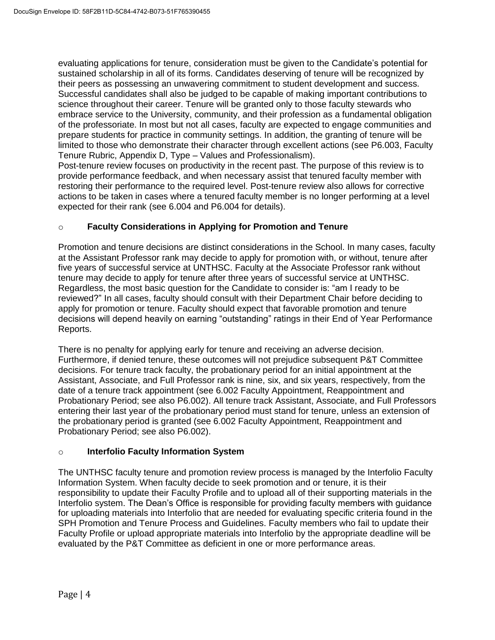evaluating applications for tenure, consideration must be given to the Candidate's potential for sustained scholarship in all of its forms. Candidates deserving of tenure will be recognized by their peers as possessing an unwavering commitment to student development and success. Successful candidates shall also be judged to be capable of making important contributions to science throughout their career. Tenure will be granted only to those faculty stewards who embrace service to the University, community, and their profession as a fundamental obligation of the professoriate. In most but not all cases, faculty are expected to engage communities and prepare students for practice in community settings. In addition, the granting of tenure will be limited to those who demonstrate their character through excellent actions (see P6.003, Faculty Tenure Rubric, Appendix D, Type – Values and Professionalism).

Post-tenure review focuses on productivity in the recent past. The purpose of this review is to provide performance feedback, and when necessary assist that tenured faculty member with restoring their performance to the required level. Post-tenure review also allows for corrective actions to be taken in cases where a tenured faculty member is no longer performing at a level expected for their rank (see 6.004 and P6.004 for details).

## o **Faculty Considerations in Applying for Promotion and Tenure**

Promotion and tenure decisions are distinct considerations in the School. In many cases, faculty at the Assistant Professor rank may decide to apply for promotion with, or without, tenure after five years of successful service at UNTHSC. Faculty at the Associate Professor rank without tenure may decide to apply for tenure after three years of successful service at UNTHSC. Regardless, the most basic question for the Candidate to consider is: "am I ready to be reviewed?" In all cases, faculty should consult with their Department Chair before deciding to apply for promotion or tenure. Faculty should expect that favorable promotion and tenure decisions will depend heavily on earning "outstanding" ratings in their End of Year Performance Reports.

There is no penalty for applying early for tenure and receiving an adverse decision. Furthermore, if denied tenure, these outcomes will not prejudice subsequent P&T Committee decisions. For tenure track faculty, the probationary period for an initial appointment at the Assistant, Associate, and Full Professor rank is nine, six, and six years, respectively, from the date of a tenure track appointment (see 6.002 Faculty Appointment, Reappointment and Probationary Period; see also P6.002). All tenure track Assistant, Associate, and Full Professors entering their last year of the probationary period must stand for tenure, unless an extension of the probationary period is granted (see 6.002 Faculty Appointment, Reappointment and Probationary Period; see also P6.002).

## o **Interfolio Faculty Information System**

The UNTHSC faculty tenure and promotion review process is managed by the Interfolio Faculty Information System. When faculty decide to seek promotion and or tenure, it is their responsibility to update their Faculty Profile and to upload all of their supporting materials in the Interfolio system. The Dean's Office is responsible for providing faculty members with guidance for uploading materials into Interfolio that are needed for evaluating specific criteria found in the SPH Promotion and Tenure Process and Guidelines. Faculty members who fail to update their Faculty Profile or upload appropriate materials into Interfolio by the appropriate deadline will be evaluated by the P&T Committee as deficient in one or more performance areas.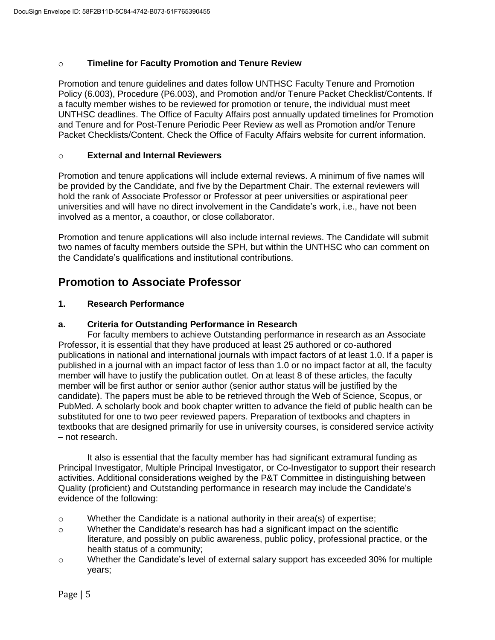## o **Timeline for Faculty Promotion and Tenure Review**

Promotion and tenure guidelines and dates follow UNTHSC Faculty Tenure and Promotion Policy (6.003), Procedure (P6.003), and Promotion and/or Tenure Packet Checklist/Contents. If a faculty member wishes to be reviewed for promotion or tenure, the individual must meet UNTHSC deadlines. The Office of Faculty Affairs post annually updated timelines for Promotion and Tenure and for Post-Tenure Periodic Peer Review as well as Promotion and/or Tenure Packet Checklists/Content. Check the Office of Faculty Affairs website for current information.

#### o **External and Internal Reviewers**

Promotion and tenure applications will include external reviews. A minimum of five names will be provided by the Candidate, and five by the Department Chair. The external reviewers will hold the rank of Associate Professor or Professor at peer universities or aspirational peer universities and will have no direct involvement in the Candidate's work, i.e., have not been involved as a mentor, a coauthor, or close collaborator.

Promotion and tenure applications will also include internal reviews. The Candidate will submit two names of faculty members outside the SPH, but within the UNTHSC who can comment on the Candidate's qualifications and institutional contributions.

# **Promotion to Associate Professor**

## **1. Research Performance**

## **a. Criteria for Outstanding Performance in Research**

For faculty members to achieve Outstanding performance in research as an Associate Professor, it is essential that they have produced at least 25 authored or co-authored publications in national and international journals with impact factors of at least 1.0. If a paper is published in a journal with an impact factor of less than 1.0 or no impact factor at all, the faculty member will have to justify the publication outlet. On at least 8 of these articles, the faculty member will be first author or senior author (senior author status will be justified by the candidate). The papers must be able to be retrieved through the Web of Science, Scopus, or PubMed. A scholarly book and book chapter written to advance the field of public health can be substituted for one to two peer reviewed papers. Preparation of textbooks and chapters in textbooks that are designed primarily for use in university courses, is considered service activity – not research.

It also is essential that the faculty member has had significant extramural funding as Principal Investigator, Multiple Principal Investigator, or Co-Investigator to support their research activities. Additional considerations weighed by the P&T Committee in distinguishing between Quality (proficient) and Outstanding performance in research may include the Candidate's evidence of the following:

- $\circ$  Whether the Candidate is a national authority in their area(s) of expertise;
- $\circ$  Whether the Candidate's research has had a significant impact on the scientific literature, and possibly on public awareness, public policy, professional practice, or the health status of a community;
- o Whether the Candidate's level of external salary support has exceeded 30% for multiple years;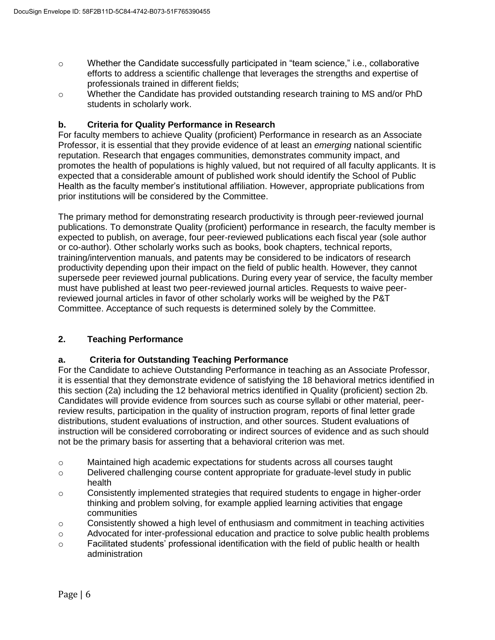- $\circ$  Whether the Candidate successfully participated in "team science," i.e., collaborative efforts to address a scientific challenge that leverages the strengths and expertise of professionals trained in different fields;
- o Whether the Candidate has provided outstanding research training to MS and/or PhD students in scholarly work.

# **b. Criteria for Quality Performance in Research**

For faculty members to achieve Quality (proficient) Performance in research as an Associate Professor, it is essential that they provide evidence of at least an *emerging* national scientific reputation. Research that engages communities, demonstrates community impact, and promotes the health of populations is highly valued, but not required of all faculty applicants. It is expected that a considerable amount of published work should identify the School of Public Health as the faculty member's institutional affiliation. However, appropriate publications from prior institutions will be considered by the Committee.

The primary method for demonstrating research productivity is through peer-reviewed journal publications. To demonstrate Quality (proficient) performance in research, the faculty member is expected to publish, on average, four peer-reviewed publications each fiscal year (sole author or co-author). Other scholarly works such as books, book chapters, technical reports, training/intervention manuals, and patents may be considered to be indicators of research productivity depending upon their impact on the field of public health. However, they cannot supersede peer reviewed journal publications. During every year of service, the faculty member must have published at least two peer-reviewed journal articles. Requests to waive peerreviewed journal articles in favor of other scholarly works will be weighed by the P&T Committee. Acceptance of such requests is determined solely by the Committee.

# **2. Teaching Performance**

## **a. Criteria for Outstanding Teaching Performance**

For the Candidate to achieve Outstanding Performance in teaching as an Associate Professor, it is essential that they demonstrate evidence of satisfying the 18 behavioral metrics identified in this section (2a) including the 12 behavioral metrics identified in Quality (proficient) section 2b. Candidates will provide evidence from sources such as course syllabi or other material, peerreview results, participation in the quality of instruction program, reports of final letter grade distributions, student evaluations of instruction, and other sources. Student evaluations of instruction will be considered corroborating or indirect sources of evidence and as such should not be the primary basis for asserting that a behavioral criterion was met.

- o Maintained high academic expectations for students across all courses taught
- o Delivered challenging course content appropriate for graduate-level study in public health
- o Consistently implemented strategies that required students to engage in higher-order thinking and problem solving, for example applied learning activities that engage communities
- $\circ$  Consistently showed a high level of enthusiasm and commitment in teaching activities
- o Advocated for inter-professional education and practice to solve public health problems
- o Facilitated students' professional identification with the field of public health or health administration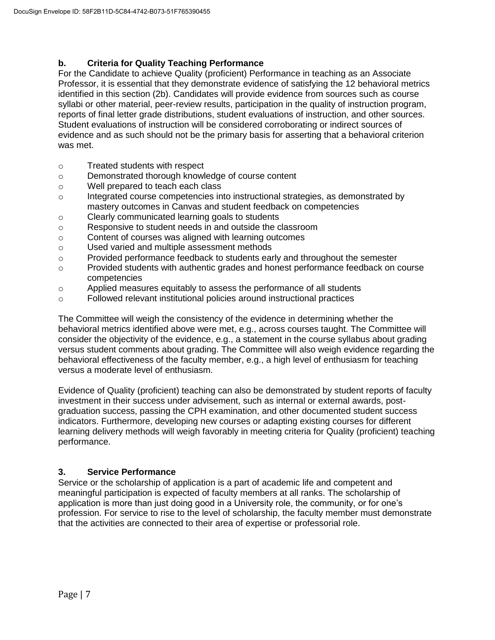# **b. Criteria for Quality Teaching Performance**

For the Candidate to achieve Quality (proficient) Performance in teaching as an Associate Professor, it is essential that they demonstrate evidence of satisfying the 12 behavioral metrics identified in this section (2b). Candidates will provide evidence from sources such as course syllabi or other material, peer-review results, participation in the quality of instruction program, reports of final letter grade distributions, student evaluations of instruction, and other sources. Student evaluations of instruction will be considered corroborating or indirect sources of evidence and as such should not be the primary basis for asserting that a behavioral criterion was met.

- o Treated students with respect
- o Demonstrated thorough knowledge of course content
- o Well prepared to teach each class
- o Integrated course competencies into instructional strategies, as demonstrated by mastery outcomes in Canvas and student feedback on competencies
- o Clearly communicated learning goals to students
- o Responsive to student needs in and outside the classroom
- o Content of courses was aligned with learning outcomes
- o Used varied and multiple assessment methods
- o Provided performance feedback to students early and throughout the semester
- o Provided students with authentic grades and honest performance feedback on course competencies
- o Applied measures equitably to assess the performance of all students
- o Followed relevant institutional policies around instructional practices

The Committee will weigh the consistency of the evidence in determining whether the behavioral metrics identified above were met, e.g., across courses taught. The Committee will consider the objectivity of the evidence, e.g., a statement in the course syllabus about grading versus student comments about grading. The Committee will also weigh evidence regarding the behavioral effectiveness of the faculty member, e.g., a high level of enthusiasm for teaching versus a moderate level of enthusiasm.

Evidence of Quality (proficient) teaching can also be demonstrated by student reports of faculty investment in their success under advisement, such as internal or external awards, postgraduation success, passing the CPH examination, and other documented student success indicators. Furthermore, developing new courses or adapting existing courses for different learning delivery methods will weigh favorably in meeting criteria for Quality (proficient) teaching performance.

# **3. Service Performance**

Service or the scholarship of application is a part of academic life and competent and meaningful participation is expected of faculty members at all ranks. The scholarship of application is more than just doing good in a University role, the community, or for one's profession. For service to rise to the level of scholarship, the faculty member must demonstrate that the activities are connected to their area of expertise or professorial role.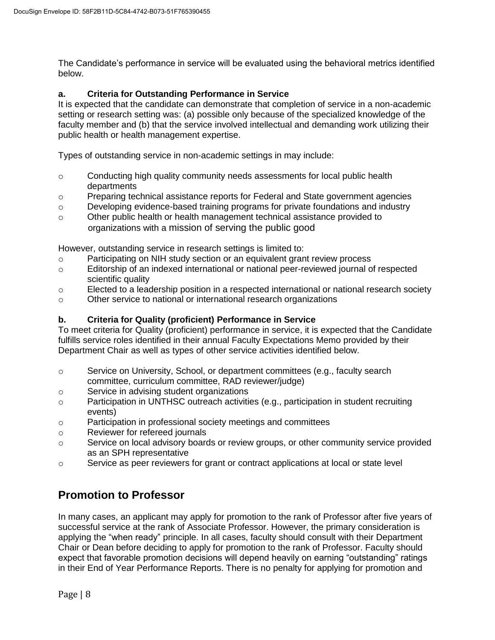The Candidate's performance in service will be evaluated using the behavioral metrics identified below.

# **a. Criteria for Outstanding Performance in Service**

It is expected that the candidate can demonstrate that completion of service in a non-academic setting or research setting was: (a) possible only because of the specialized knowledge of the faculty member and (b) that the service involved intellectual and demanding work utilizing their public health or health management expertise.

Types of outstanding service in non-academic settings in may include:

- $\circ$  Conducting high quality community needs assessments for local public health departments
- o Preparing technical assistance reports for Federal and State government agencies
- o Developing evidence-based training programs for private foundations and industry
- o Other public health or health management technical assistance provided to organizations with a mission of serving the public good

However, outstanding service in research settings is limited to:

- o Participating on NIH study section or an equivalent grant review process
- o Editorship of an indexed international or national peer-reviewed journal of respected scientific quality
- o Elected to a leadership position in a respected international or national research society
- o Other service to national or international research organizations

# **b. Criteria for Quality (proficient) Performance in Service**

To meet criteria for Quality (proficient) performance in service, it is expected that the Candidate fulfills service roles identified in their annual Faculty Expectations Memo provided by their Department Chair as well as types of other service activities identified below.

- $\circ$  Service on University, School, or department committees (e.g., faculty search committee, curriculum committee, RAD reviewer/judge)
- o Service in advising student organizations
- o Participation in UNTHSC outreach activities (e.g., participation in student recruiting events)
- o Participation in professional society meetings and committees
- o Reviewer for refereed journals
- o Service on local advisory boards or review groups, or other community service provided as an SPH representative
- $\circ$  Service as peer reviewers for grant or contract applications at local or state level

# **Promotion to Professor**

In many cases, an applicant may apply for promotion to the rank of Professor after five years of successful service at the rank of Associate Professor. However, the primary consideration is applying the "when ready" principle. In all cases, faculty should consult with their Department Chair or Dean before deciding to apply for promotion to the rank of Professor. Faculty should expect that favorable promotion decisions will depend heavily on earning "outstanding" ratings in their End of Year Performance Reports. There is no penalty for applying for promotion and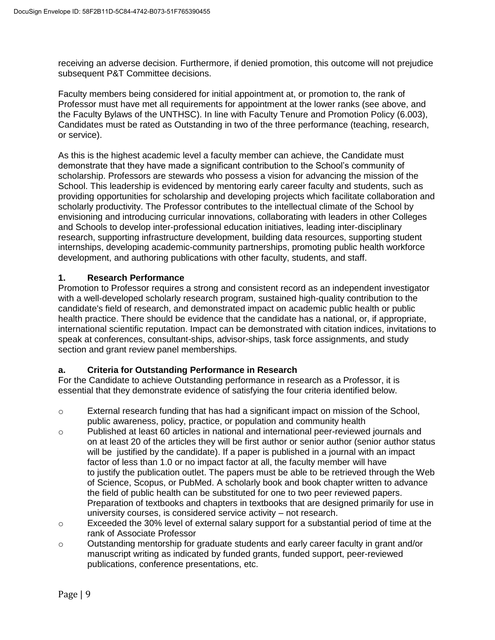receiving an adverse decision. Furthermore, if denied promotion, this outcome will not prejudice subsequent P&T Committee decisions.

Faculty members being considered for initial appointment at, or promotion to, the rank of Professor must have met all requirements for appointment at the lower ranks (see above, and the Faculty Bylaws of the UNTHSC). In line with Faculty Tenure and Promotion Policy (6.003), Candidates must be rated as Outstanding in two of the three performance (teaching, research, or service).

As this is the highest academic level a faculty member can achieve, the Candidate must demonstrate that they have made a significant contribution to the School's community of scholarship. Professors are stewards who possess a vision for advancing the mission of the School. This leadership is evidenced by mentoring early career faculty and students, such as providing opportunities for scholarship and developing projects which facilitate collaboration and scholarly productivity. The Professor contributes to the intellectual climate of the School by envisioning and introducing curricular innovations, collaborating with leaders in other Colleges and Schools to develop inter-professional education initiatives, leading inter-disciplinary research, supporting infrastructure development, building data resources, supporting student internships, developing academic-community partnerships, promoting public health workforce development, and authoring publications with other faculty, students, and staff.

## **1. Research Performance**

Promotion to Professor requires a strong and consistent record as an independent investigator with a well-developed scholarly research program, sustained high-quality contribution to the candidate's field of research, and demonstrated impact on academic public health or public health practice. There should be evidence that the candidate has a national, or, if appropriate, international scientific reputation. Impact can be demonstrated with citation indices, invitations to speak at conferences, consultant-ships, advisor-ships, task force assignments, and study section and grant review panel memberships.

## **a. Criteria for Outstanding Performance in Research**

For the Candidate to achieve Outstanding performance in research as a Professor, it is essential that they demonstrate evidence of satisfying the four criteria identified below.

- o External research funding that has had a significant impact on mission of the School, public awareness, policy, practice, or population and community health
- o Published at least 60 articles in national and international peer-reviewed journals and on at least 20 of the articles they will be first author or senior author (senior author status will be justified by the candidate). If a paper is published in a journal with an impact factor of less than 1.0 or no impact factor at all, the faculty member will have to justify the publication outlet. The papers must be able to be retrieved through the Web of Science, Scopus, or PubMed. A scholarly book and book chapter written to advance the field of public health can be substituted for one to two peer reviewed papers. Preparation of textbooks and chapters in textbooks that are designed primarily for use in university courses, is considered service activity – not research.
- o Exceeded the 30% level of external salary support for a substantial period of time at the rank of Associate Professor
- $\circ$  Outstanding mentorship for graduate students and early career faculty in grant and/or manuscript writing as indicated by funded grants, funded support, peer-reviewed publications, conference presentations, etc.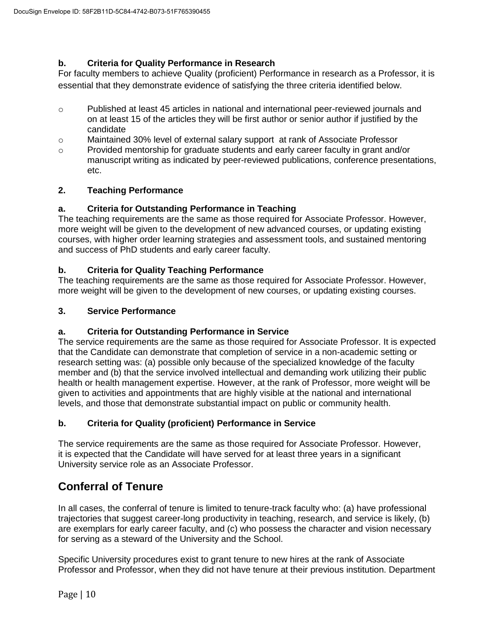# **b. Criteria for Quality Performance in Research**

For faculty members to achieve Quality (proficient) Performance in research as a Professor, it is essential that they demonstrate evidence of satisfying the three criteria identified below.

- o Published at least 45 articles in national and international peer-reviewed journals and on at least 15 of the articles they will be first author or senior author if justified by the candidate
- o Maintained 30% level of external salary support at rank of Associate Professor
- $\circ$  Provided mentorship for graduate students and early career faculty in grant and/or manuscript writing as indicated by peer-reviewed publications, conference presentations, etc.

## **2. Teaching Performance**

## **a. Criteria for Outstanding Performance in Teaching**

The teaching requirements are the same as those required for Associate Professor. However, more weight will be given to the development of new advanced courses, or updating existing courses, with higher order learning strategies and assessment tools, and sustained mentoring and success of PhD students and early career faculty.

## **b. Criteria for Quality Teaching Performance**

The teaching requirements are the same as those required for Associate Professor. However, more weight will be given to the development of new courses, or updating existing courses.

## **3. Service Performance**

## **a. Criteria for Outstanding Performance in Service**

The service requirements are the same as those required for Associate Professor. It is expected that the Candidate can demonstrate that completion of service in a non-academic setting or research setting was: (a) possible only because of the specialized knowledge of the faculty member and (b) that the service involved intellectual and demanding work utilizing their public health or health management expertise. However, at the rank of Professor, more weight will be given to activities and appointments that are highly visible at the national and international levels, and those that demonstrate substantial impact on public or community health.

## **b. Criteria for Quality (proficient) Performance in Service**

The service requirements are the same as those required for Associate Professor. However, it is expected that the Candidate will have served for at least three years in a significant University service role as an Associate Professor.

# **Conferral of Tenure**

In all cases, the conferral of tenure is limited to tenure-track faculty who: (a) have professional trajectories that suggest career-long productivity in teaching, research, and service is likely, (b) are exemplars for early career faculty, and (c) who possess the character and vision necessary for serving as a steward of the University and the School.

Specific University procedures exist to grant tenure to new hires at the rank of Associate Professor and Professor, when they did not have tenure at their previous institution. Department